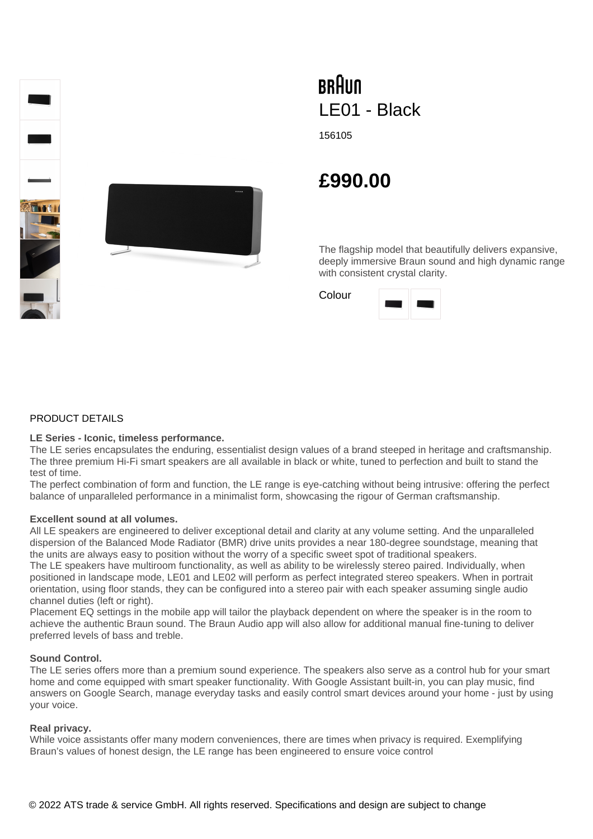

# **BRAUN** LE01 - Black

156105

# **£990.00**

The flagship model that beautifully delivers expansive, deeply immersive Braun sound and high dynamic range with consistent crystal clarity.

Colour



# PRODUCT DETAILS

#### **LE Series - Iconic, timeless performance.**

The LE series encapsulates the enduring, essentialist design values of a brand steeped in heritage and craftsmanship. The three premium Hi-Fi smart speakers are all available in black or white, tuned to perfection and built to stand the test of time.

The perfect combination of form and function, the LE range is eye-catching without being intrusive: offering the perfect balance of unparalleled performance in a minimalist form, showcasing the rigour of German craftsmanship.

# **Excellent sound at all volumes.**

All LE speakers are engineered to deliver exceptional detail and clarity at any volume setting. And the unparalleled dispersion of the Balanced Mode Radiator (BMR) drive units provides a near 180-degree soundstage, meaning that the units are always easy to position without the worry of a specific sweet spot of traditional speakers.

The LE speakers have multiroom functionality, as well as ability to be wirelessly stereo paired. Individually, when positioned in landscape mode, LE01 and LE02 will perform as perfect integrated stereo speakers. When in portrait orientation, using floor stands, they can be configured into a stereo pair with each speaker assuming single audio channel duties (left or right).

Placement EQ settings in the mobile app will tailor the playback dependent on where the speaker is in the room to achieve the authentic Braun sound. The Braun Audio app will also allow for additional manual fine-tuning to deliver preferred levels of bass and treble.

# **Sound Control.**

The LE series offers more than a premium sound experience. The speakers also serve as a control hub for your smart home and come equipped with smart speaker functionality. With Google Assistant built-in, you can play music, find answers on Google Search, manage everyday tasks and easily control smart devices around your home - just by using your voice.

# **Real privacy.**

While voice assistants offer many modern conveniences, there are times when privacy is required. Exemplifying Braun's values of honest design, the LE range has been engineered to ensure voice control